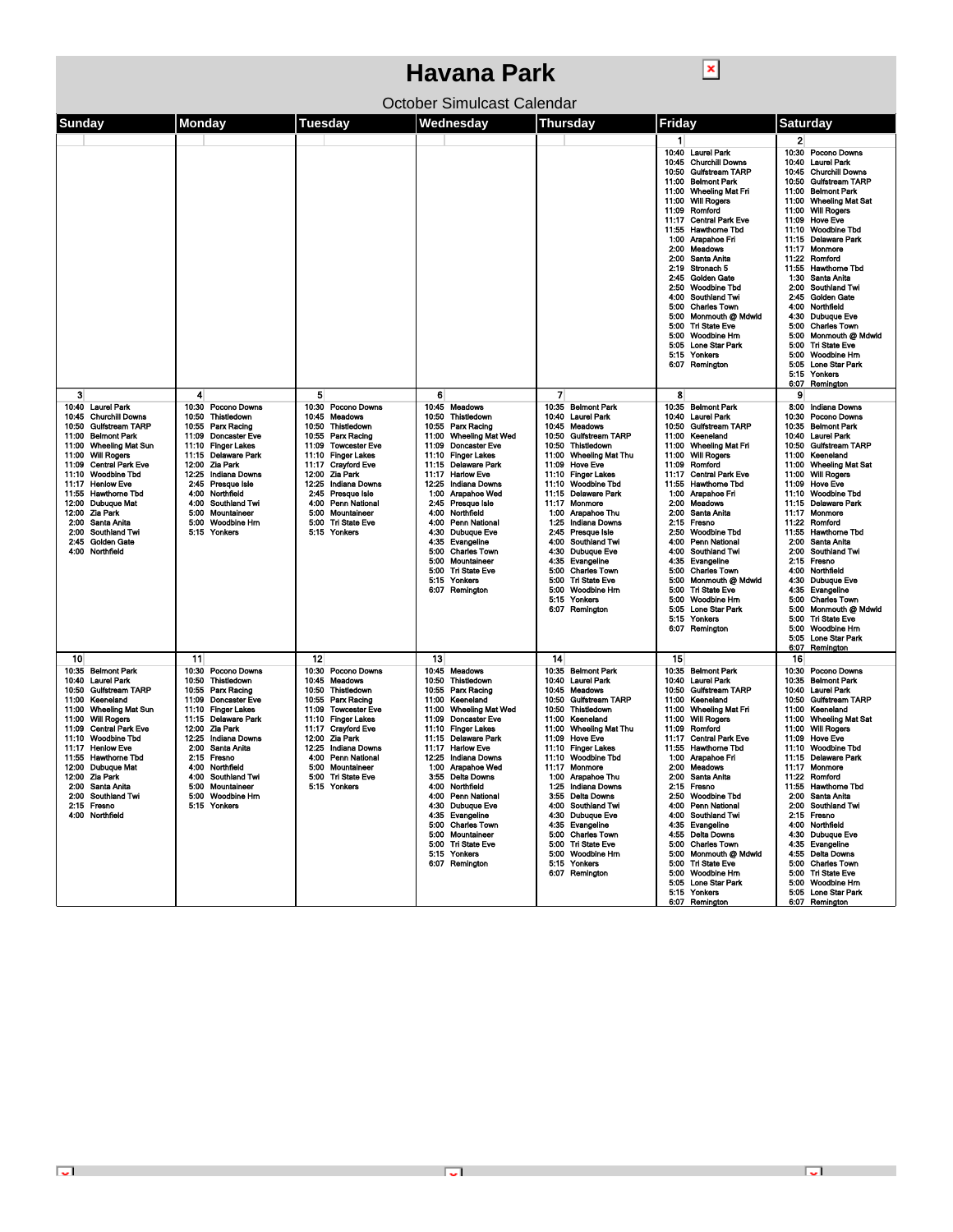| ×<br>Havana Park                                                                                                                                                                                                                                                                                                                                            |                                                                                                                                                                                                                                                                                                                     |                                                                                                                                                                                                                                                                                                                                                                                 |                                                                                                                                                                                                                                                                                                                                                                                                                                                       |                                                                                                                                                                                                                                                                                                                                                                                                                                                                                                                                |                                                                                                                                                                                                                                                                                                                                                                                                                                                                                                                                                                                                                                                                       |                                                                                                                                                                                                                                                                                                                                                                                                                                                                                                                                                                                                                                                                                                                 |  |  |  |  |
|-------------------------------------------------------------------------------------------------------------------------------------------------------------------------------------------------------------------------------------------------------------------------------------------------------------------------------------------------------------|---------------------------------------------------------------------------------------------------------------------------------------------------------------------------------------------------------------------------------------------------------------------------------------------------------------------|---------------------------------------------------------------------------------------------------------------------------------------------------------------------------------------------------------------------------------------------------------------------------------------------------------------------------------------------------------------------------------|-------------------------------------------------------------------------------------------------------------------------------------------------------------------------------------------------------------------------------------------------------------------------------------------------------------------------------------------------------------------------------------------------------------------------------------------------------|--------------------------------------------------------------------------------------------------------------------------------------------------------------------------------------------------------------------------------------------------------------------------------------------------------------------------------------------------------------------------------------------------------------------------------------------------------------------------------------------------------------------------------|-----------------------------------------------------------------------------------------------------------------------------------------------------------------------------------------------------------------------------------------------------------------------------------------------------------------------------------------------------------------------------------------------------------------------------------------------------------------------------------------------------------------------------------------------------------------------------------------------------------------------------------------------------------------------|-----------------------------------------------------------------------------------------------------------------------------------------------------------------------------------------------------------------------------------------------------------------------------------------------------------------------------------------------------------------------------------------------------------------------------------------------------------------------------------------------------------------------------------------------------------------------------------------------------------------------------------------------------------------------------------------------------------------|--|--|--|--|
| October Simulcast Calendar                                                                                                                                                                                                                                                                                                                                  |                                                                                                                                                                                                                                                                                                                     |                                                                                                                                                                                                                                                                                                                                                                                 |                                                                                                                                                                                                                                                                                                                                                                                                                                                       |                                                                                                                                                                                                                                                                                                                                                                                                                                                                                                                                |                                                                                                                                                                                                                                                                                                                                                                                                                                                                                                                                                                                                                                                                       |                                                                                                                                                                                                                                                                                                                                                                                                                                                                                                                                                                                                                                                                                                                 |  |  |  |  |
| Sunday                                                                                                                                                                                                                                                                                                                                                      | Monday                                                                                                                                                                                                                                                                                                              | Tuesday                                                                                                                                                                                                                                                                                                                                                                         | Wednesday                                                                                                                                                                                                                                                                                                                                                                                                                                             | Thursday                                                                                                                                                                                                                                                                                                                                                                                                                                                                                                                       | Friday                                                                                                                                                                                                                                                                                                                                                                                                                                                                                                                                                                                                                                                                | <b>Saturday</b>                                                                                                                                                                                                                                                                                                                                                                                                                                                                                                                                                                                                                                                                                                 |  |  |  |  |
| 3                                                                                                                                                                                                                                                                                                                                                           | 4                                                                                                                                                                                                                                                                                                                   | 5                                                                                                                                                                                                                                                                                                                                                                               | 6                                                                                                                                                                                                                                                                                                                                                                                                                                                     | 7                                                                                                                                                                                                                                                                                                                                                                                                                                                                                                                              | $\mathbf{1}$<br>10:40 Laurel Park<br>10:45 Churchill Downs<br><b>Gulfstream TARP</b><br>10:50<br><b>Belmont Park</b><br>11:00<br>11:00<br><b>Wheeling Mat Fri</b><br><b>Will Rogers</b><br>11:00<br>Romford<br>11:09<br><b>Central Park Eve</b><br>11:17<br><b>Hawthorne Tbd</b><br>11:55<br>1:00<br>Arapahoe Fri<br><b>Meadows</b><br>2:00<br>2:00<br>Santa Anita<br>2:19<br>Stronach 5<br><b>Golden Gate</b><br>2:45<br>2:50<br><b>Woodbine Tbd</b><br>4:00<br>Southland Twi<br>5:00<br><b>Charles Town</b><br>Monmouth @ Mdwld<br>5:00<br>5:00<br><b>Tri State Eve</b><br>5:00<br>Woodbine Hrn<br>5:05<br>Lone Star Park<br>5:15<br>Yonkers<br>6:07 Remington<br>8 | 2<br>10:30 Pocono Downs<br>10:40 Laurel Park<br><b>Churchill Downs</b><br>10:45<br><b>Gulfstream TARP</b><br>10:50<br>11:00<br><b>Belmont Park</b><br>11:00<br><b>Wheeling Mat Sat</b><br><b>Will Rogers</b><br>11:00<br>11:09<br><b>Hove Eve</b><br><b>Woodbine Tbd</b><br>11:10<br>11:15<br><b>Delaware Park</b><br>11:17<br>Monmore<br>11:22<br>Romford<br>11:55<br><b>Hawthome Tbd</b><br>1:30<br>Santa Anita<br>2:00<br><b>Southland Twi</b><br>2:45<br>Golden Gate<br>Northfield<br>4:00<br>4:30<br><b>Dubuque Eve</b><br><b>Charles Town</b><br>5:00<br>5:00<br>Monmouth @ Mdwld<br>5:00<br>Tri State Eve<br>5:00<br><b>Woodbine Hm</b><br>5:05 Lone Star Park<br>5:15 Yonkers<br>6:07<br>Remington<br>9 |  |  |  |  |
| 10:40 Laurel Park<br>10:45 Churchill Downs<br>10:50 Gulfstream TARP<br>11:00 Belmont Park<br>11:00 Wheeling Mat Sun<br>11:00 Will Rogers<br>11:09 Central Park Eve<br>11:10 Woodbine Tbd<br>11:17 Henlow Eve<br>11:55 Hawthorne Tbd<br>12:00 Dubuque Mat<br>12:00 Zia Park<br>2:00 Santa Anita<br>2:00 Southland Twi<br>2:45 Golden Gate<br>4:00 Northfield | 10:30 Pocono Downs<br>10:50 Thistledown<br>10.55 Parx Racing<br>11:09 Doncaster Eve<br>11:10 Finger Lakes<br>11:15 Delaware Park<br>12:00 Zia Park<br>12:25 Indiana Downs<br>2.45 Presque Isle<br>4:00 Northfield<br>Southland Twi<br>4:00<br>5:00<br>Mountaineer<br>5:00 Woodbine Hm<br>5:15 Yonkers               | 10:30 Pocono Downs<br>10:45<br><b>Meadows</b><br>10:50<br>Thistledown<br>10:55<br>Parx Racing<br>11:09<br><b>Towcester Eve</b><br><b>Finger Lakes</b><br>11:10<br><b>Crayford Eve</b><br>11:17<br>12:00<br>Zia Park<br>12:25<br>Indiana Downs<br>Presque Isle<br>2:45<br><b>Penn National</b><br>4:00<br>Mountaineer<br>5:00<br>5:00<br><b>Tri State Eve</b><br>5:15<br>Yonkers | 10:45 Meadows<br>10:50 Thistledown<br>10:55 Parx Racing<br>11:00 Wheeling Mat Wed<br>11:09 Doncaster Eve<br>11:10 Finger Lakes<br>11:15 Delaware Park<br>11:17 Harlow Eve<br>12:25 Indiana Downs<br>1:00 Arapahoe Wed<br>2:45 Presque Isle<br>4:00 Northfield<br>4:00 Penn National<br>4:30 Dubuque Eve<br>4:35 Evangeline<br>5:00 Charles Town<br>5:00 Mountaineer<br>5:00 Tri State Eve<br>5:15 Yonkers<br>6:07 Remington                           | 10:35 Belmont Park<br>10:40 Laurel Park<br>10:45 Meadows<br><b>Gulfstream TARP</b><br>10:50<br>10:50<br>Thistledown<br><b>Wheeling Mat Thu</b><br>11:00<br>11:09 Hove Eve<br>11:10 Finger Lakes<br>11:10 Woodbine Tbd<br>11:15<br><b>Delaware Park</b><br>11.17<br>Monmore<br>1:00 Arapahoe Thu<br>1:25<br>Indiana Downs<br>2:45 Presque Isle<br>4:00 Southland Twi<br>4:30 Dubuque Eve<br>Evangeline<br>4.35<br><b>Charles Town</b><br>5:00<br>5:00<br>Tri State Eve<br>Woodbine Hm<br>5:00<br>5:15 Yonkers<br>6:07 Remington | 10:35 Belmont Park<br>10:40<br>Laurel Park<br>10:50<br><b>Gulfstream TARP</b><br>11:00<br>Keeneland<br>11:00<br><b>Wheeling Mat Fri</b><br>11:00<br><b>Will Rogers</b><br>Romford<br>11:09<br>11:17<br><b>Central Park Eve</b><br><b>Hawthorne Tbd</b><br>11:55<br>1:00<br>Arapahoe Fri<br>2:00<br>Meadows<br>2:00<br>Santa Anita<br>2:15<br>Fresno<br>2:50<br>Woodbine Tbd<br><b>Penn National</b><br>4:00<br>4:00<br><b>Southland Twi</b><br>4.35<br>Evangeline<br>5:00<br><b>Charles Town</b><br>5:00<br>Monmouth @ Mdwld<br>5:00<br>Tri State Eve<br>5:00<br>Woodbine Hm<br><b>Lone Star Park</b><br>5:05<br>5:15<br>Yonkers<br>6:07 Remington                    | 8:00<br><b>Indiana Downs</b><br>10:30<br>Pocono Downs<br>10:35<br><b>Belmont Park</b><br>10:40 Laurel Park<br>10:50<br><b>Gulfstream TARP</b><br>Keeneland<br>11:00<br><b>Wheeling Mat Sat</b><br>11:00<br>11:00<br><b>Will Rogers</b><br>11:09<br><b>Hove Eve</b><br><b>Woodbine Tbd</b><br>11:10<br>11:15<br>Delaware Park<br>11:17<br>Monmore<br>11:22<br>Romford<br>11:55<br><b>Hawthome Tbd</b><br>2:00<br>Santa Anita<br>2:00<br><b>Southland Twi</b><br>Fresno<br>2:15<br>4:00<br>Northfield<br>4:30 Dubuque Eve<br>4:35 Evangeline<br>5:00 Charles Town<br>Monmouth @ Mdwld<br>5:00<br><b>Tri State Eve</b><br>5:00<br>Woodbine Hm<br>5:00<br>5:05 Lone Star Park<br>Remington<br>6:07                  |  |  |  |  |
| 10<br>10:35 Belmont Park<br>10:40 Laurel Park<br>10:50 Gulfstream TARP<br>11:00 Keeneland<br>11:00 Wheeling Mat Sun<br>11:00 Will Rogers<br>11:09 Central Park Eve<br>11:10 Woodbine Tbd<br>11:17 Henlow Eve<br>11:55 Hawthorne Tbd<br>12:00 Dubuque Mat<br>12:00 Zia Park<br>2:00 Santa Anita<br>2:00 Southland Twi<br>2:15 Fresno<br>4:00 Northfield      | 11<br>10:30 Pocono Downs<br>10.50 Thistledown<br>10:55 Parx Racing<br>11:09 Doncaster Eve<br>11:10 Finger Lakes<br>11:15 Delaware Park<br>12:00 Zia Park<br>12:25 Indiana Downs<br>2:00 Santa Anita<br>2:15 Fresno<br>4:00 Northfield<br>4:00 Southland Twi<br>5:00 Mountaineer<br>5:00 Woodbine Hm<br>5:15 Yonkers | 12<br>10:30<br>Pocono Downs<br>10:45<br>Meadows<br>Thistledown<br>10:50<br>10:55<br>Parx Racing<br>11:09<br><b>Towcester Eve</b><br>11:10 Finger Lakes<br>11:17 Crayford Eve<br>12:00 Zia Park<br>12:25 Indiana Downs<br>4:00 Penn National<br>5:00 Mountaineer<br>5:00 Tri State Eve<br>5:15 Yonkers                                                                           | 13<br>10:45 Meadows<br>10:50 Thistledown<br>10:55 Parx Racing<br>11:00 Keeneland<br>11:00 Wheeling Mat Wed<br>11:09 Doncaster Eve<br>11:10 Finger Lakes<br>11:15 Delaware Park<br>11:17 Harlow Eve<br>12:25   Indiana Downs<br>1:00 Arapahoe Wed<br>3:55 Delta Downs<br>4:00 Northfield<br>4:00 Penn National<br>4:30 Dubuque Eve<br>4:35 Evangeline<br>5:00 Charles Town<br>5:00 Mountaineer<br>5:00 Tri State Eve<br>5:15 Yonkers<br>6:07 Remington | 14<br>10:35 Belmont Park<br>10:40 Laurel Park<br>10:45 Meadows<br>10:50 Gulfstream TARP<br>10:50 Thistledown<br>11:00 Keeneland<br>11:00 Wheeling Mat Thu<br>11:09 Hove Eve<br>11:10 Finger Lakes<br>11:10 Woodbine Tbd<br>11:17 Monmore<br>1:00 Arapahoe Thu<br>1:25 Indiana Downs<br>3:55 Delta Downs<br>4:00 Southland Twi<br>4:30 Dubuque Eve<br>4:35 Evangeline<br>5:00 Charles Town<br>5:00 Tri State Eve<br>5:00 Woodbine Hm<br>5:15 Yonkers<br>6.07 Remington                                                          | 15<br>10:35 Belmont Park<br>Laurel Park<br>10:40<br><b>Gulfstream TARP</b><br>10:50<br>11:00 Keeneland<br>11:00 Wheeling Mat Fri<br>11:00 Will Rogers<br>11:09 Romford<br>11:17 Central Park Eve<br>11:55 Hawthorne Tbd<br>1:00 Arapahoe Fri<br>2:00 Meadows<br>2:00 Santa Anita<br>2:15 Fresno<br>2:50 Woodbine Tbd<br>4:00 Penn National<br>4:00 Southland Twi<br>4:35 Evangeline<br>4:55 Delta Downs<br>5:00 Charles Town<br>5:00 Monmouth @ Mdwld<br>5:00 Tri State Eve<br>5:00 Woodbine Hm<br>5:05 Lone Star Park<br>5:15 Yonkers<br>6:07 Remington                                                                                                              | 16<br>10:30<br>Pocono Downs<br>10:35<br><b>Belmont Park</b><br>10:40<br><b>Laurel Park</b><br>10:50<br>Gulfstream TARP<br>11:00<br>Keeneland<br><b>Wheeling Mat Sat</b><br>11:00<br>11:00 Will Rogers<br>11:09 Hove Eve<br>11:10 Woodbine Tbd<br>11:15 Delaware Park<br>11:17 Monmore<br>11:22 Romford<br>11:55 Hawthome Tbd<br>2:00 Santa Anita<br>2:00 Southland Twi<br>2:15 Fresno<br>4:00 Northfield<br>4:30 Dubuque Eve<br>4:35 Evangeline<br>4:55 Delta Downs<br>5:00 Charles Town<br>5:00 Tri State Eve<br>5:00 Woodbine Hm<br>5:05 Lone Star Park<br>6:07 Remington                                                                                                                                     |  |  |  |  |

**Inches**